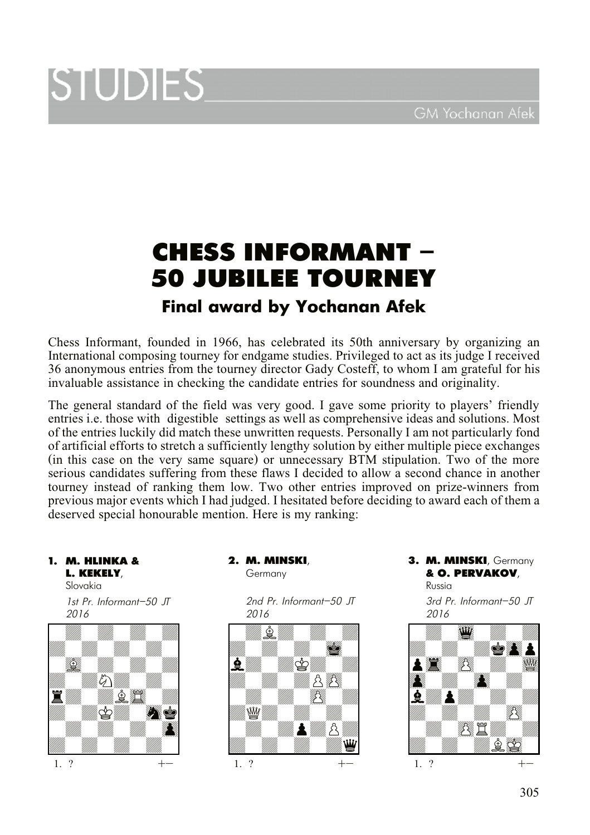# **CHESS INFORMANT – 50 JUBILEE TOURNEY**

# **Final award by Yochanan Afek**

Chess Informant, founded in 1966, has celebrated its 50th anniversary by organizing an International composing tourney for endgame studies. Privileged to act as its judge I received 36 anonymous entries from the tourney director Gady Costeff, to whom I am grateful for his invaluable assistance in checking the candidate entries for soundness and originality.

The general standard of the field was very good. I gave some priority to players' friendly entries i.e. those with digestible settings as well as comprehensive ideas and solutions. Most of the entries luckily did match these unwritten requests. Personally I am not particularly fond of artificial efforts to stretch a sufficiently lengthy solution by either multiple piece exchanges (in this case on the very same square) or unnecessary BTM stipulation. Two of the more serious candidates suffering from these flaws I decided to allow a second chance in another tourney instead of ranking them low. Two other entries improved on prize-winners from previous major events which I had judged. I hesitated before deciding to award each of them a deserved special honourable mention. Here is my ranking:

## **1. M. HLINKA &**

**L. KEKELY**, Slovakia *1st Pr. Informant–50 JT 2016*



# **2. M. MINSKI**,

Germany

*2nd Pr. Informant–50 JT 2016*



#### **3. M. MINSKI**, Germany **& O. PERVAKOV**, Russia

*3rd Pr. Informant–50 JT 2016*



305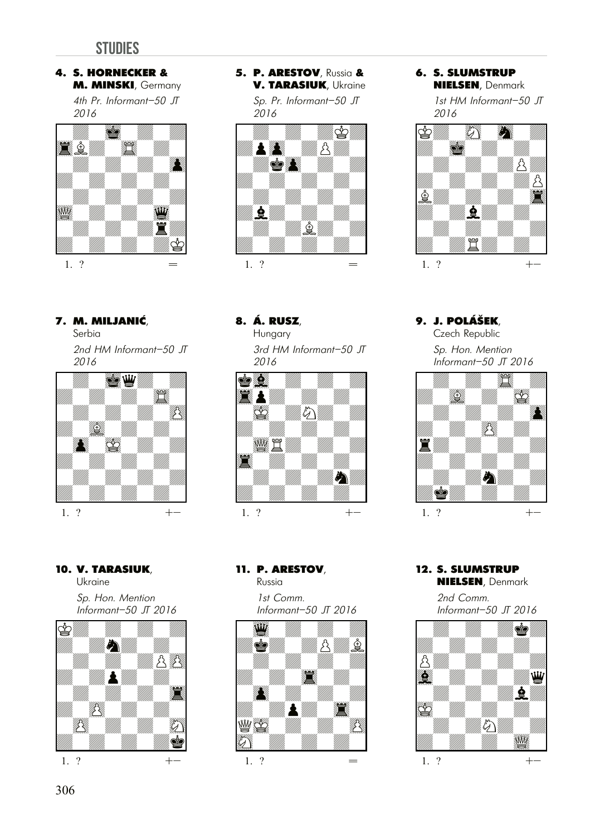#### **STUDIES**

#### **4. S. HORNECKER &** M. MINSKI, Germany

4th Pr. Informant-50 JT 2016



#### 7. M. MILJANIĆ,

Serbia

2nd HM Informant-50 JT 2016



#### 10. V. TARASIUK

Ukraine





5. P. ARESTOV, Russia & **V. TARASIUK, Ukraine** 

> Sp. Pr. Informant-50 JT 2016



#### 8. Á. RUSZ

Hungary 3rd HM Informant-50 JT 2016



#### 11. P. ARESTOV, Russia

1st Comm. Informant-50  $J\bar{J}$  2016



## **6. S. SLUMSTRUP NIELSEN, Denmark**

1st HM Informant-50 JT 2016



9. J. POLÁŠEK

Czech Republic Sp. Hon. Mention Informant-50 JT 2016



12. S. SLUMSTRUP **NIELSEN, Denmark** 

> 2nd Comm. Informant-50  $J\bar{J}$  2016

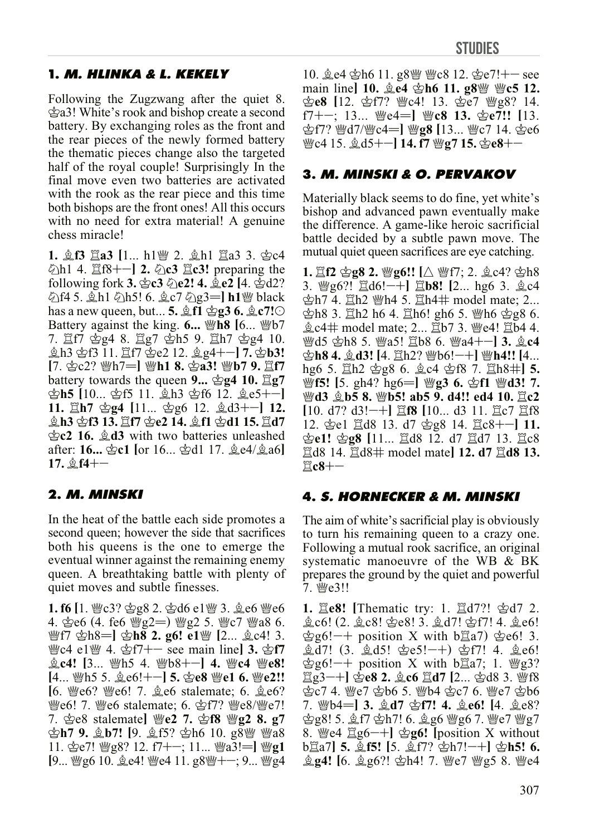#### 1. *M. HLINKA & L. KEKELY*

Following the Zugzwang after the quiet 8. gal. White's rook and bishop create a second battery. By exchanging roles as the front and the rear pieces of the newly formed battery the thematic pieces change also the targeted half of the royal couple! Surprisingly In the final move even two batteries are activated with the rook as the rear piece and this time both bishops are the front ones! All this occurs with no need for extra material! A genuine chess miracle!

1. gf3 Ea3 [1... h1曾 2. gh1 Ea3 3. gc4  $\Diamond$ h1 4.  $\mathbb{E}$ f8+-] 2.  $\Diamond$ c3  $\mathbb{E}$ c3! preparing the following fork 3. \$c3 \e2! 4. \$e2 [4. \$d2? ②f4 5. இh1 වාh5! 6. මූc7 වාg3= **h1** මු black has a new queen, but... 5.  $\&$  f1  $\&$  g3 6.  $\&$  c7! $\odot$ Battery against the king.  $6...$  @h8  $[6...$  @b7 7. 置f7 含g4 8. 置g7 含h5 9. 置h7 含g4 10. 奠h3 含f3 11. 置f7 含e2 12. 奠g4+-] 7. 含b3! [7. 含c2? 瞥h7=] 瞥h1 8. 含a3! 瞥b7 9. 置f7 battery towards the queen 9...  $\hat{\otimes}$ g4 10.  $\hat{\boxtimes}$ g7 ☆h5 [10... ☆f5 11. *\$h3* ☆f6 12. *\$*e5+-] 11.  $\Box$ h7  $\Diamond$ g4 [11...  $\Diamond$ g6 12.  $\Diamond$ d3+-] 12. **鱼h3 杏f3 13. 罝f7 杏e2 14. 鱼f1 杏d1 15. 罝d7**  $\&c2$  16.  $\&$  d3 with two batteries unleashed after: 16...  $\&c1$  for 16...  $\&d1$  17.  $\&e4/\&ad1$ 17. 鱼f4+-

#### 2. M. MINSKI

In the heat of the battle each side promotes a second queen; however the side that sacrifices both his queens is the one to emerge the eventual winner against the remaining enemy queen. A breathtaking battle with plenty of quiet moves and subtle finesses.

1. f6 [1. 曾c3? 含g8 2. 含d6 e1曾 3. 奠e6 曾e6 4. \$206 (4. fe6 \g2=) \g2 5. \c7 \ga8 6. 營f7 gh8=] gh8 2. g6! e1營 [2... gc4! 3.  $\mathbb{W}$ c4 e1 $\mathbb{W}$  4.  $\mathfrak{D}$ f7+ see main line**l 3.**  $\mathfrak{D}$ f7 奠c4! [3... | h5 4. | hb8+-] 4. | he8! [4... \html 5. ge6!+-] 5. ge8 \e1 6. \e2!! [6. 營e6? 營e6! 7.  $\&$ e6 stalemate; 6.  $\&$ e6? 營e6! 7. 營e6 stalemate; 6. 含f7? 營e8/營e7! 7. ge8 stalemate] 曾e2 7. gf8 曾g2 8. g7 宫h7 9. 鱼b7! [9. 鱼f5? 宫h6 10. g8瞥 瞥a8 11. 含e7! 響g8? 12. f7+-; 11... 響a3!=] 響g1 [9... |gg6 10. ge4! |ge4 11. g8|gf+-; 9... |gg4 10. ge4 gh6 11. g8 kg \c8 12. ge7!+ - see ge8 [12. gf7? @c4! 13. ge7 @g8? 14. f7+-; 13... \e4=] \c8 13. \e67!! [13. ☆f7? \d7/\gc4= ]\g8 [13... \c7 14. \c6  $\mathbb{W}$ c4 15.  $\&$  d5+-1 14. f7  $\mathbb{W}$ g7 15.  $\&$ e8+-

#### 3. *M. MINSKI & O. PERVAKOV*

Materially black seems to do fine, yet white's bishop and advanced pawn eventually make the difference. A game-like heroic sacrificial battle decided by a subtle pawn move. The mutual quiet queen sacrifices are eye catching.

1.  $\mathbb{E}$ f2  $\mathbb{E}$ g8 2.  $\mathbb{E}$ g6!! [ $\triangle$   $\mathbb{E}$ f7; 2.  $\mathbb{E}$ c4?  $\mathbb{E}$ h8 3. 曾g6?! 罝d6!-+] 罝b8! [2... hg6 3. 奠c4 **含h7 4. 罝h2 轡h4 5. 罝h4**# model mate; 2... gh8 3. Xh2 h6 4. Xh6! gh6 5. \\text{\bn{b}\$6. 奠c4# model mate; 2... kb7 3. We4! kb4 4. *Wed5* 空h8 5. *Wa5!* 耳b8 6. *Wa4+*-1 3. 金 c4 gh8 4. gd3! [4. 罝h2? 轡b6!−+] 轡h4!! [4... hg6 5. 罝h2 含g8 6. 奠c4 含f8 7. 罝h8#] **5.** Wf5! [5. gh4? hg6=] \g g 3 6. \f1 \d d3! 7. Wd3 鱼b5 8. Wb5! ab5 9. d4!! ed4 10. Ac2 [10. d7? d3!-+] 買f8 [10... d3 11. 買c7 買f8 12. 空e1 買d8 13. d7 空g8 14. 買c8+-1 11. **空e1! 空g8 [11... 買d8 12. d7 買d7 13. 買c8** 置d8 14. 置d8# model mate] 12. d7 置d8 13.  $\Xi$ c8+ $-$ 

#### **4. S. HORNECKER & M. MINSKI**

The aim of white's sacrificial play is obviously to turn his remaining queen to a crazy one. Following a mutual rook sacrifice, an original systematic manoeuvre of the WB & BK prepares the ground by the quiet and powerful 7. 營e3!!

1.  $\Xi$ e8! [Thematic try: 1.  $\Xi$ d7?!  $\Delta$ d7 2. 奠c6! (2. 兔c8! ge8! 3. 兔d7! gf7! 4. 兔e6!  $\&$ g6!-+ position X with b $\&$ a7)  $\&$ e6! 3. 奠d7! (3. 奠d5! 含e5!—+) 含f7! 4. 奠e6!  $\&$ g6!-+ position X with b $\&$ a7; 1.  $\&$ g3?  $\Xi$ g3-+]  $\triangleq$ e8 2.  $\triangleq$ c6  $\Xi$ d7 [2...  $\triangleq$ d8 3.  $\triangleq$ f8 ஜ்с7 4. ₩е7 ஜ்b6 5. ₩b4 ஜ்с7 6. ₩е7 ஜ்b6 7. 曾b4=] 3. gd7 gf7! 4. ge6! [4. ge8? ge8! 5. gf7 gh7! 6. ge6 |ge6 7. |ge7 |g7 8. We4  $\mathbb{E}$ g6-+]  $\mathbb{E}$ g6! [position X without]  $b\Xi a$ 7] 5.  $\&$  f5! [5.  $\&$  f7?  $\&$  h7!-+]  $\&$  h5! 6. 奠g4! [6. 奠g6?! 含h4! 7. 營e7 營g5 8. 營e4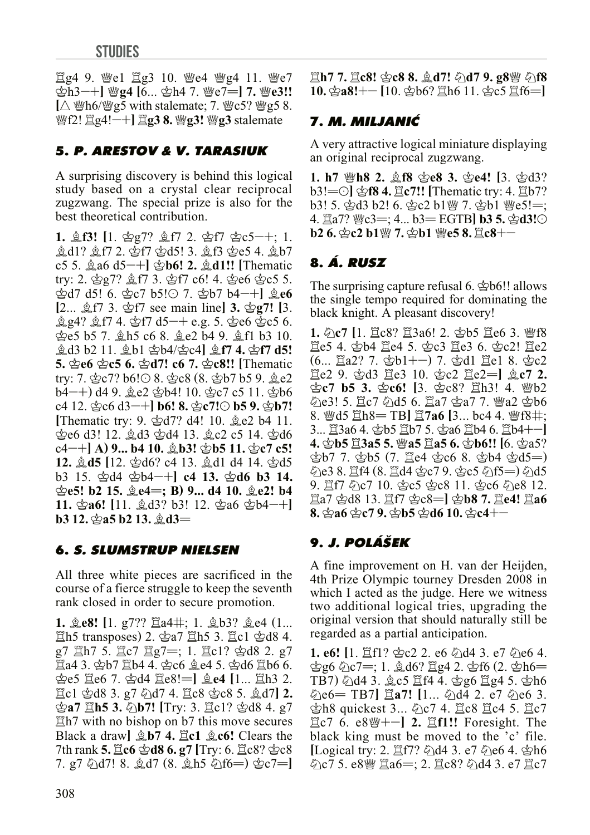買g4 9. We1 買g3 10. We4 Wg4 11. We7 含h3-+] 營g4 [6... 含h4 7. 營e7=] 7. 營e3!! [△ \\\fransphere{1}{bm{bm}} with stalemate; 7. \cdot \cdot \cdot \cdot \cdot \cdot \cdot \cdot \cdot \cdot \cdot \cdot \cdot \cdot \cdot \cdot \cdot \cdot \cdot \cdot \cdot \cdot \cdot \cdot \cdot \cdot \cdot \cdot \cdot  $\mathcal{W}$ f2!  $\mathbb{E}$ g4!-+]  $\mathbb{E}$ g3 8.  $\mathcal{W}$ g3!  $\mathcal{W}$ g3 stalemate

## **5. P. ARESTOV & V. TARASIUK**

A surprising discovery is behind this logical study based on a crystal clear reciprocal zugzwang. The special prize is also for the best theoretical contribution.

1.  $\&$  f3! [1.  $\&$  g7?  $\&$  f7 2.  $\&$  f7  $\&$  c5-+; 1. @d1? @f7 2. \$f7 \$d5! 3. @f3 \$e5 4. @b7 c5 5.  $\&$ a6 d5-+]  $\&$ b6! 2.  $\&$ d1!! [Thematic try: 2.  $\&$  g7?  $\&$  f7 3.  $\&$  f7 c6! 4.  $\&$  e6  $\&$  c5 5.  $\&$ d7 d5! 6.  $\&$ c7 b5! $\odot$  7.  $\&$ b7 b4-+]  $\&$ e6  $[2... \& 17 \; 3 \; \& 17 \; \text{see } \text{main line}]$  3.  $\& 27! \; [3.$  $\&$  g4?  $\&$  f7 4.  $\&$  f7 d5-+ e.g. 5.  $\&$  e6  $\&$  c5 6. get b5 7.  $\&$ h5 c6 8.  $\&$ e2 b4 9.  $\&$ f1 b3 10. @d3 b2 11. @b1 \ppd/\pc4] @f7 4. \pf7 d5! 5.  $\&$ e6  $\&$ c5 6.  $\&$ d7! c6 7.  $\&$ c8!! [Thematic] try: 7. \$c7? b6!○ 8. \$c8 (8. \$b7 b5 9. \$e2  $b4-$ +) d4 9.  $\&e2$   $\&b4$ ! 10.  $\&c7$  c5 11.  $\&b6$ c4 12.  $\&$ c6 d3-+] b6! 8.  $\&$ c7! $\odot$  b5 9.  $\&$ b7! [Thematic try: 9. 含d7? d4! 10. 奠e2 b4 11. ge6 d3! 12. gd3 gd4 13. gc2 c5 14. gd6 c4-+] A) 9... b4 10.  $\&$  b3!  $\&$  b5 11.  $\&$  c7 c5! 12. gd5 [12. gd6? c4 13. gd1 d4 14. gd5 b3 15.  $\&$ d4  $\&$ b4-+] c4 13.  $\&$ d6 b3 14. ge5! b2 15. ge4=; B) 9... d4 10. ge2! b4 11.  $\circledcirc a6!$  [11.  $\circledcirc d3?$  b3! 12.  $\circledcirc a6 \circledcirc b4-+$ ]  $b3 12.$   $\&$  a5 b2 13.  $\&$  d3=

## **6. S. SLUMSTRUP NIELSEN**

All three white pieces are sacrificed in the course of a fierce struggle to keep the seventh rank closed in order to secure promotion.

1.  $\&$  e8! [1. g7??  $\&$  a4#; 1.  $\&$  b3?  $\&$  e4 (1... 罝h5 transposes) 2. 含a7 罝h5 3. 罝c1 含d8 4. g7 買h7 5. 買c7 買g7=; 1. 買c1? 含d8 2. g7 *Ea4 3. gb7 Eb4 4. gc6 ge4 5. gd6 Eb6 6.* фе5 Де6 7. фd4 Де8!= ] & e4 [1... Дh3 2. 罝c1 含d8 3. g7 公d7 4. 罝c8 含c8 5. 兔d7] 2.  $\triangle$ **а7**  $\triangleq$ **h5 3. ⊘b7!** [Try: 3.  $\triangleq$ c1?  $\triangleq$ d8 4. g7  $\Xi$ h7 with no bishop on b7 this move secures Black a drawl  $\&$  b7 4.  $\&$  c1  $\&$  c6! Clears the 7th rank 5.  $\angle$ c6 含d8 6.g7 [Try: 6.  $\angle$ c8? 含c8 7. g7  $\&$ d7! 8.  $\&$ d7 (8.  $\&$ h5  $\&$ f6=)  $\&c$ 7=] 置h7 7. 置c8! 含c8 8. 奠d7! @d7 9. g8豐 @f8  $10.$   $\&$  a8! + - [10.  $\&$  b6?  $\&$  h6 11.  $\&$  c5  $\&$  f6 = ]

## *7. M. MILJANIĆ*

A very attractive logical miniature displaying an original reciprocal zugzwang.

1. h7 曾h8 2. 奠f8 含e8 3. 含e4! [3. 含d3? b3!=○ 金f8 4. 置c7!! [Thematic try: 4. 置b7? b3! 5. 含d3 b2! 6. 含c2 b1曾 7. 含b1 曾e5!=; 4. 圓a7? 響c3=; 4... b3= EGTB] b3 5. 含d3!○  $b26.$   $\&c2b1\&7.$   $\&b1\&8c58.$   $\&c8+-$ 

# **8. Á. RUSZ**

The surprising capture refusal 6.  $\&$ b6!! allows the single tempo required for dominating the black knight. A pleasant discovery!

1. ②c7 [1. 兰c8? 罝3a6! 2. 含b5 罝e6 3. 曾f8 (6...  $\Xi$ a2? 7. 含b1+-) 7. 含d1  $\Xi$ e1 8. 含c2 置e2 9. 含d3 置e3 10. 含c2 置e2=1 gc7 2. 宫c7 b5 3. 宫c6! [3. 宫c8? 置h3! 4. 曾b2 இe3! 5. Ec7 இd5 6. Ea7 இa7 7. @a2 இb6 8. 曾d5 宣h8= TB] 宣7a6 [3... bc4 4. 曾f8#; 3... ΞЗа6 4. 含b5 Ξb7 5. 含a6 Ξb4 6. Ξb4+-] 含b7 7. 含b5 (7. 置e4 含c6 8. 含b4 含d5=) @e3 8.  $\Xi$ f4 (8.  $\Xi$ d4  $\&c$ 7 9.  $\&c$ 5  $\&$ f5=)  $\&$ d5 置a7 含d8 13. 置f7 含c8=] 含b8 7. 置e4! 置a6 8.  $\&$ a6  $\&$ c79.  $\&$ b5  $\&$ d610.  $\&$ c4+-

# 9. J. POLÁŠEK

A fine improvement on H. van der Heijden, 4th Prize Olympic tourney Dresden 2008 in which I acted as the judge. Here we witness two additional logical tries, upgrading the original version that should naturally still be regarded as a partial anticipation.

1. e6! [1. 罝f1? 含c2 2. e6 公d4 3. e7 公e6 4.  $\frac{1}{2}$ g6  $\frac{1}{2}$ c7=; 1.  $\frac{1}{2}$ d6?  $\frac{1}{2}$ g4 2.  $\frac{1}{2}$ f6 (2.  $\frac{1}{2}$ h6= TB7) のd4 3. gc5 買f4 4. gg6 買g4 5. gh6  $\hat{\varphi}$ e6 = TB7]  $\Xi a$ 7! [1...  $\hat{\varphi}$ d4 2. e7 $\hat{\varphi}$ e6 3. ☆h8 quickest 3... のc7 4. 買c8 買c4 5. 買c7  $\Xi$ c7 6. e8 $\mathbb{W}$ +-] 2.  $\Xi$ f1!! Foresight. The black king must be moved to the 'c' file. [Logical try: 2.  $\angle$ 日7? ②d4 3. e7 ②e6 4. 含h6 ②c7 5. e8幽 罝a6=; 2. 罝c8? ④d4 3. e7 罝c7